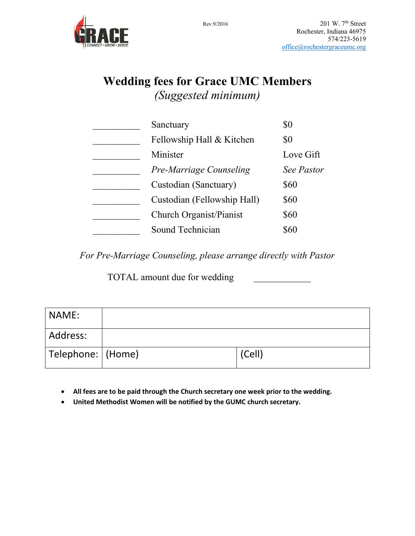

## **Wedding fees for Grace UMC Members** *(Suggested minimum)*

| Sanctuary                      | \$0               |
|--------------------------------|-------------------|
| Fellowship Hall & Kitchen      | \$0               |
| Minister                       | Love Gift         |
| <b>Pre-Marriage Counseling</b> | <b>See Pastor</b> |
| Custodian (Sanctuary)          | \$60              |
| Custodian (Fellowship Hall)    | \$60              |
| Church Organist/Pianist        | \$60              |
| Sound Technician               | 860               |

*For Pre-Marriage Counseling, please arrange directly with Pastor*

TOTAL amount due for wedding

| NAME:                |        |
|----------------------|--------|
| Address:             |        |
| Telephone:    (Home) | (Cell) |

- **All fees are to be paid through the Church secretary one week prior to the wedding.**
- **United Methodist Women will be notified by the GUMC church secretary.**